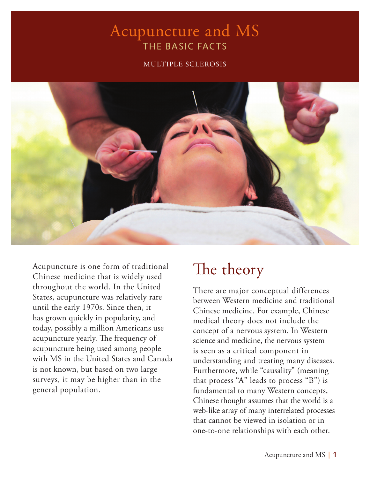### Acupuncture and MS THE BASIC FACTS

#### MULTIPLE SCLEROSIS



Acupuncture is one form of traditional Chinese medicine that is widely used throughout the world. In the United States, acupuncture was relatively rare until the early 1970s. Since then, it has grown quickly in popularity, and today, possibly a million Americans use acupuncture yearly. The frequency of acupuncture being used among people with MS in the United States and Canada is not known, but based on two large surveys, it may be higher than in the general population.

## The theory

There are major conceptual differences between Western medicine and traditional Chinese medicine. For example, Chinese medical theory does not include the concept of a nervous system. In Western science and medicine, the nervous system is seen as a critical component in understanding and treating many diseases. Furthermore, while "causality" (meaning that process "A" leads to process "B") is fundamental to many Western concepts, Chinese thought assumes that the world is a web-like array of many interrelated processes that cannot be viewed in isolation or in one-to-one relationships with each other.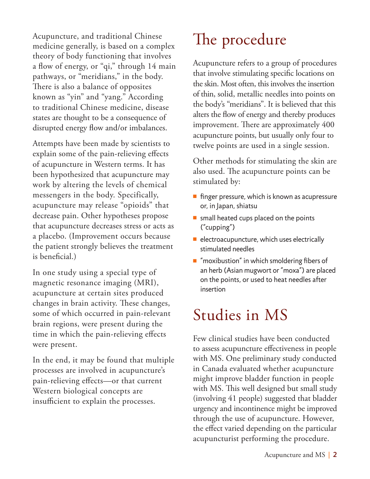Acupuncture, and traditional Chinese medicine generally, is based on a complex theory of body functioning that involves a flow of energy, or "qi," through 14 main pathways, or "meridians," in the body. There is also a balance of opposites known as "yin" and "yang." According to traditional Chinese medicine, disease states are thought to be a consequence of disrupted energy flow and/or imbalances.

Attempts have been made by scientists to explain some of the pain-relieving effects of acupuncture in Western terms. It has been hypothesized that acupuncture may work by altering the levels of chemical messengers in the body. Specifically, acupuncture may release "opioids" that decrease pain. Other hypotheses propose that acupuncture decreases stress or acts as a placebo. (Improvement occurs because the patient strongly believes the treatment is beneficial.)

In one study using a special type of magnetic resonance imaging (MRI), acupuncture at certain sites produced changes in brain activity. These changes, some of which occurred in pain-relevant brain regions, were present during the time in which the pain-relieving effects were present.

In the end, it may be found that multiple processes are involved in acupuncture's pain-relieving effects—or that current Western biological concepts are insufficient to explain the processes.

# The procedure

Acupuncture refers to a group of procedures that involve stimulating specific locations on the skin. Most often, this involves the insertion of thin, solid, metallic needles into points on the body's "meridians". It is believed that this alters the flow of energy and thereby produces improvement. There are approximately 400 acupuncture points, but usually only four to twelve points are used in a single session.

Other methods for stimulating the skin are also used. The acupuncture points can be stimulated by:

- $\blacksquare$  finger pressure, which is known as acupressure or, in Japan, shiatsu
- $\blacksquare$  small heated cups placed on the points ("cupping")
- $\blacksquare$  electroacupuncture, which uses electrically stimulated needles
- $\blacksquare$  "moxibustion" in which smoldering fibers of an herb (Asian mugwort or "moxa") are placed on the points, or used to heat needles after insertion

## Studies in MS

Few clinical studies have been conducted to assess acupuncture effectiveness in people with MS. One preliminary study conducted in Canada evaluated whether acupuncture might improve bladder function in people with MS. This well designed but small study (involving 41 people) suggested that bladder urgency and incontinence might be improved through the use of acupuncture. However, the effect varied depending on the particular acupuncturist performing the procedure.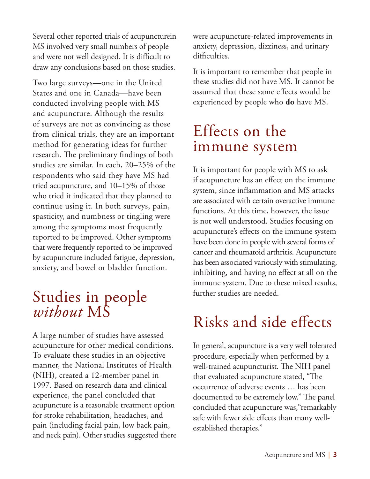Several other reported trials of acupuncturein MS involved very small numbers of people and were not well designed. It is difficult to draw any conclusions based on those studies.

Two large surveys—one in the United States and one in Canada—have been conducted involving people with MS and acupuncture. Although the results of surveys are not as convincing as those from clinical trials, they are an important method for generating ideas for further research. The preliminary findings of both studies are similar. In each, 20–25% of the respondents who said they have MS had tried acupuncture, and 10–15% of those who tried it indicated that they planned to continue using it. In both surveys, pain, spasticity, and numbness or tingling were among the symptoms most frequently reported to be improved. Other symptoms that were frequently reported to be improved by acupuncture included fatigue, depression, anxiety, and bowel or bladder function.

## Studies in people *without* MS

A large number of studies have assessed acupuncture for other medical conditions. To evaluate these studies in an objective manner, the National Institutes of Health (NIH), created a 12-member panel in 1997. Based on research data and clinical experience, the panel concluded that acupuncture is a reasonable treatment option for stroke rehabilitation, headaches, and pain (including facial pain, low back pain, and neck pain). Other studies suggested there were acupuncture-related improvements in anxiety, depression, dizziness, and urinary difficulties.

It is important to remember that people in these studies did not have MS. It cannot be assumed that these same effects would be experienced by people who **do** have MS.

### Effects on the immune system

It is important for people with MS to ask if acupuncture has an effect on the immune system, since inflammation and MS attacks are associated with certain overactive immune functions. At this time, however, the issue is not well understood. Studies focusing on acupuncture's effects on the immune system have been done in people with several forms of cancer and rheumatoid arthritis. Acupuncture has been associated variously with stimulating, inhibiting, and having no effect at all on the immune system. Due to these mixed results, further studies are needed.

## Risks and side effects

In general, acupuncture is a very well tolerated procedure, especially when performed by a well-trained acupuncturist. The NIH panel that evaluated acupuncture stated, "The occurrence of adverse events … has been documented to be extremely low." The panel concluded that acupuncture was,"remarkably safe with fewer side effects than many wellestablished therapies."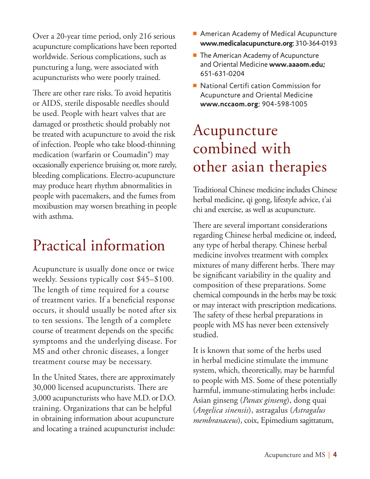Over a 20-year time period, only 216 serious acupuncture complications have been reported worldwide. Serious complications, such as puncturing a lung, were associated with acupuncturists who were poorly trained.

There are other rare risks. To avoid hepatitis or AIDS, sterile disposable needles should be used. People with heart valves that are damaged or prosthetic should probably not be treated with acupuncture to avoid the risk of infection. People who take blood-thinning medication (warfarin or Coumadin®) may occasionally experience bruising or, more rarely, bleeding complications. Electro-acupuncture may produce heart rhythm abnormalities in people with pacemakers, and the fumes from moxibustion may worsen breathing in people with asthma.

## Practical information

Acupuncture is usually done once or twice weekly. Sessions typically cost \$45–\$100. The length of time required for a course of treatment varies. If a beneficial response occurs, it should usually be noted after six to ten sessions. The length of a complete course of treatment depends on the specific symptoms and the underlying disease. For MS and other chronic diseases, a longer treatment course may be necessary.

In the United States, there are approximately 30,000 licensed acupuncturists. There are 3,000 acupuncturists who have M.D. or D.O. training. Organizations that can be helpful in obtaining information about acupuncture and locating a trained acupuncturist include:

- $\blacksquare$  American Academy of Medical Acupuncture **www.medicalacupuncture.org**; 310-364-0193
- $\blacksquare$  The American Academy of Acupuncture and Oriental Medicine **www.aaaom.edu;** 651-631-0204
- $\blacksquare$  National Certifi cation Commission for Acupuncture and Oriental Medicine **www.nccaom.org**; 904-598-1005

## Acupuncture combined with other asian therapies

Traditional Chinese medicine includes Chinese herbal medicine, qi gong, lifestyle advice, t'ai chi and exercise, as well as acupuncture.

There are several important considerations regarding Chinese herbal medicine or, indeed, any type of herbal therapy. Chinese herbal medicine involves treatment with complex mixtures of many different herbs. There may be significant variability in the quality and composition of these preparations. Some chemical compounds in the herbs may be toxic or may interact with prescription medications. The safety of these herbal preparations in people with MS has never been extensively studied.

It is known that some of the herbs used in herbal medicine stimulate the immune system, which, theoretically, may be harmful to people with MS. Some of these potentially harmful, immune-stimulating herbs include: Asian ginseng (*Panax ginseng*), dong quai (*Angelica sinensis*), astragalus (*Astragalus membranaceus*), coix, Epimedium sagittatum,